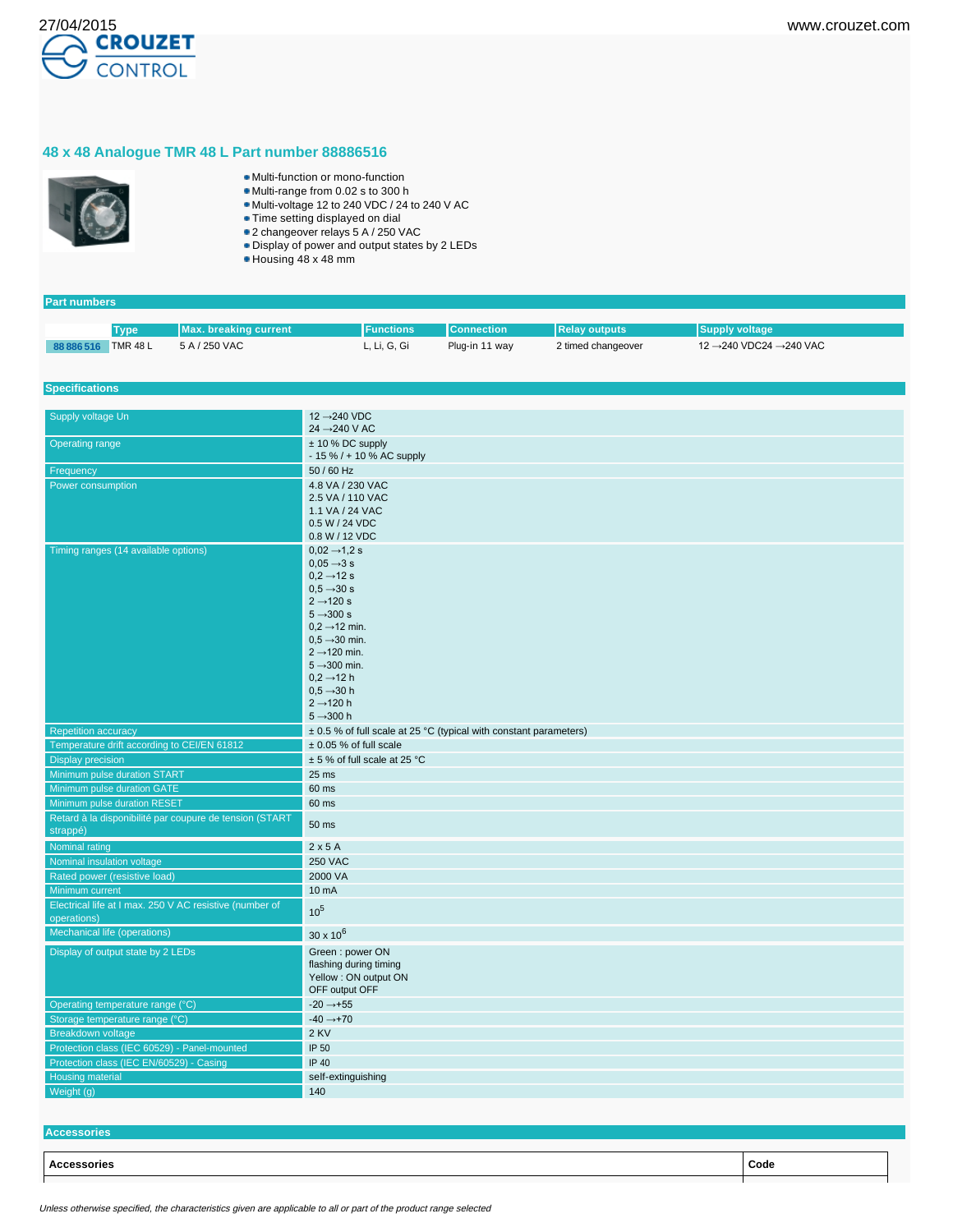

## **48 x 48 Analogue TMR 48 L Part number 88886516**



- Multi-function or mono-function
- Multi-range from 0.02 s to 300 h Multi-voltage 12 to 240 VDC / 24 to 240 V AC
- 
- Time setting displayed on dial
- 2 changeover relays 5 A / 250 VAC
- Display of power and output states by 2 LEDs
- Housing 48 x 48 mm

| <b>Part numbers</b>                                                 |             |                              |                                                                   |                   |                      |                        |  |
|---------------------------------------------------------------------|-------------|------------------------------|-------------------------------------------------------------------|-------------------|----------------------|------------------------|--|
|                                                                     |             |                              |                                                                   |                   |                      |                        |  |
|                                                                     | <b>Type</b> | <b>Max. breaking current</b> | <b>Functions</b>                                                  | <b>Connection</b> | <b>Relay outputs</b> | <b>Supply voltage</b>  |  |
| 88 886 516 TMR 48 L                                                 |             | 5 A / 250 VAC                | L, Li, G, Gi                                                      | Plug-in 11 way    | 2 timed changeover   | 12 →240 VDC24 →240 VAC |  |
|                                                                     |             |                              |                                                                   |                   |                      |                        |  |
| <b>Specifications</b>                                               |             |                              |                                                                   |                   |                      |                        |  |
|                                                                     |             |                              |                                                                   |                   |                      |                        |  |
| Supply voltage Un<br><b>Operating range</b>                         |             |                              | 12 → 240 VDC                                                      |                   |                      |                        |  |
|                                                                     |             |                              | 24 → 240 V AC                                                     |                   |                      |                        |  |
|                                                                     |             |                              | ± 10 % DC supply<br>$-15\% / + 10\%$ AC supply                    |                   |                      |                        |  |
| Frequency                                                           |             |                              | 50 / 60 Hz                                                        |                   |                      |                        |  |
| Power consumption                                                   |             |                              | 4.8 VA / 230 VAC                                                  |                   |                      |                        |  |
|                                                                     |             |                              | 2.5 VA / 110 VAC                                                  |                   |                      |                        |  |
|                                                                     |             | 1.1 VA / 24 VAC              |                                                                   |                   |                      |                        |  |
|                                                                     |             |                              | 0.5 W / 24 VDC                                                    |                   |                      |                        |  |
|                                                                     |             |                              | 0.8 W / 12 VDC                                                    |                   |                      |                        |  |
| Timing ranges (14 available options)                                |             |                              | $0.02 \rightarrow 1.2$ s<br>$0.05 \rightarrow 3 s$                |                   |                      |                        |  |
|                                                                     |             |                              | $0.2 \rightarrow 12$ s                                            |                   |                      |                        |  |
|                                                                     |             |                              | $0.5 \rightarrow 30 s$                                            |                   |                      |                        |  |
|                                                                     |             |                              | $2 \rightarrow 120 s$                                             |                   |                      |                        |  |
|                                                                     |             |                              | $5 \rightarrow 300 s$                                             |                   |                      |                        |  |
|                                                                     |             |                              | $0.2 \rightarrow 12$ min.                                         |                   |                      |                        |  |
|                                                                     |             |                              | $0.5 \rightarrow 30$ min.<br>$2 \rightarrow 120$ min.             |                   |                      |                        |  |
|                                                                     |             |                              | $5 \rightarrow 300$ min.                                          |                   |                      |                        |  |
|                                                                     |             |                              | $0.2 \rightarrow 12$ h                                            |                   |                      |                        |  |
|                                                                     |             |                              | $0.5 \rightarrow 30 h$                                            |                   |                      |                        |  |
|                                                                     |             |                              | $2 \rightarrow 120$ h                                             |                   |                      |                        |  |
|                                                                     |             |                              | $5 - 300h$                                                        |                   |                      |                        |  |
| <b>Repetition accuracy</b>                                          |             |                              | ± 0.5 % of full scale at 25 °C (typical with constant parameters) |                   |                      |                        |  |
| Temperature drift according to CEI/EN 61812                         |             | $± 0.05$ % of full scale     |                                                                   |                   |                      |                        |  |
| <b>Display precision</b>                                            |             | ± 5 % of full scale at 25 °C |                                                                   |                   |                      |                        |  |
| Minimum pulse duration START                                        |             |                              | $25$ ms                                                           |                   |                      |                        |  |
| Minimum pulse duration GATE                                         |             |                              | 60 ms                                                             |                   |                      |                        |  |
| Minimum pulse duration RESET                                        |             |                              | 60 ms                                                             |                   |                      |                        |  |
| Retard à la disponibilité par coupure de tension (START<br>strappé) |             |                              | 50 ms                                                             |                   |                      |                        |  |
| Nominal rating                                                      |             |                              | 2x5A                                                              |                   |                      |                        |  |
| Nominal insulation voltage                                          |             |                              | <b>250 VAC</b>                                                    |                   |                      |                        |  |
| Rated power (resistive load)                                        |             |                              | 2000 VA                                                           |                   |                      |                        |  |
| Minimum current                                                     |             |                              | 10 mA                                                             |                   |                      |                        |  |
| Electrical life at I max. 250 V AC resistive (number of             |             |                              | 10 <sup>5</sup>                                                   |                   |                      |                        |  |
| operations)                                                         |             |                              |                                                                   |                   |                      |                        |  |
| Mechanical life (operations)                                        |             |                              | $30 \times 10^6$                                                  |                   |                      |                        |  |
| Display of output state by 2 LEDs                                   |             |                              | Green: power ON                                                   |                   |                      |                        |  |
|                                                                     |             |                              | flashing during timing                                            |                   |                      |                        |  |
|                                                                     |             |                              | Yellow : ON output ON                                             |                   |                      |                        |  |
|                                                                     |             |                              | OFF output OFF                                                    |                   |                      |                        |  |
| Operating temperature range (°C)                                    |             |                              | $-20 \rightarrow +55$<br>$-40 \rightarrow +70$                    |                   |                      |                        |  |
| Storage temperature range (°C)<br><b>Breakdown voltage</b>          |             |                              | 2 KV                                                              |                   |                      |                        |  |
| Protection class (IEC 60529) - Panel-mounted                        |             |                              | IP 50                                                             |                   |                      |                        |  |
| Protection class (IEC EN/60529) - Casing                            |             |                              | IP 40                                                             |                   |                      |                        |  |
| Housing material                                                    |             | self-extinguishing           |                                                                   |                   |                      |                        |  |
| Weight (g)                                                          |             | 140                          |                                                                   |                   |                      |                        |  |
|                                                                     |             |                              |                                                                   |                   |                      |                        |  |

**Accessories**

**Accessories Code**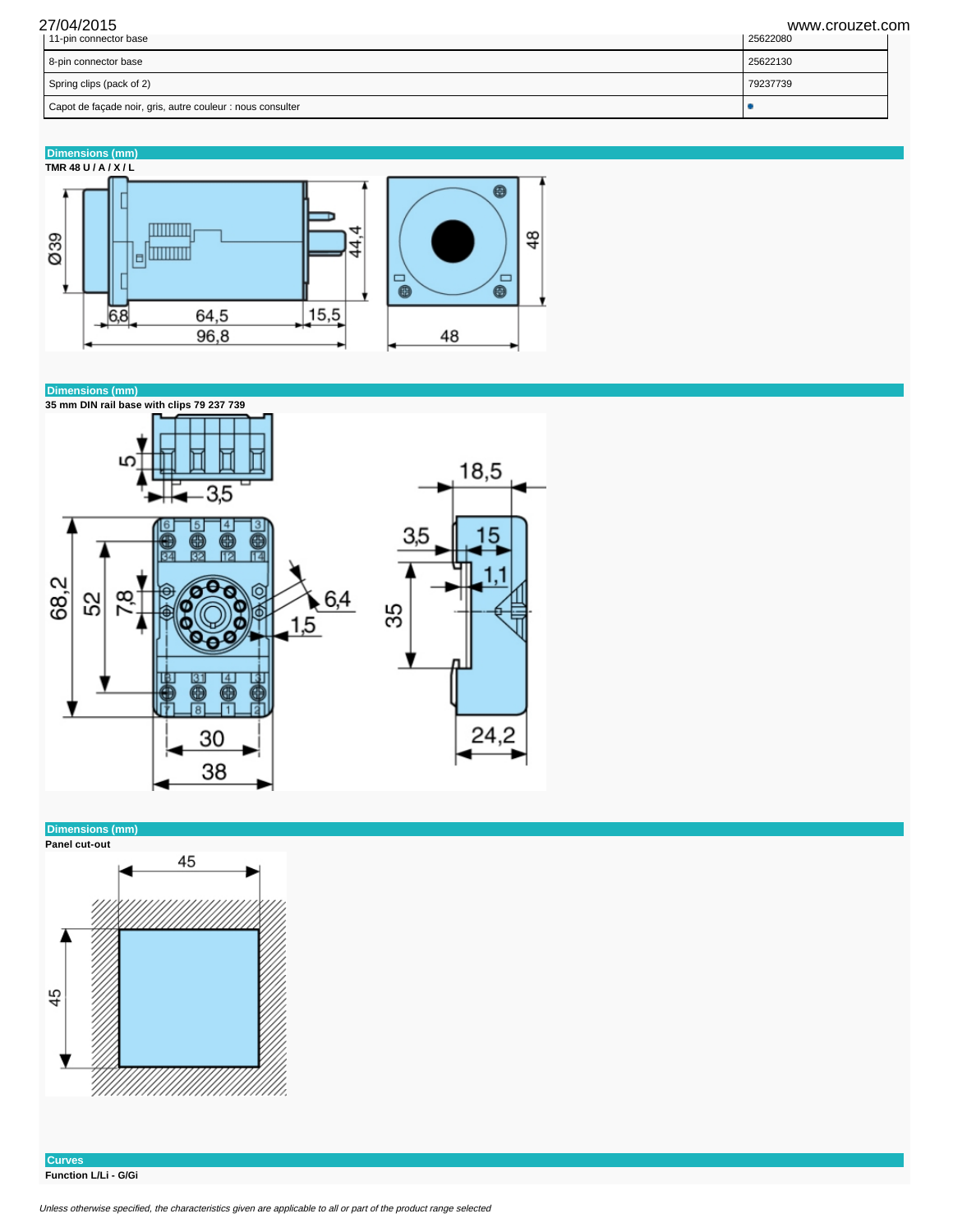27/04/2015 www.crouzet.com

| Capot de façade noir, gris, autre couleur : nous consulter |          |
|------------------------------------------------------------|----------|
| Spring clips (pack of 2)                                   | 79237739 |
| 8-pin connector base                                       | 25622130 |
| 11-pin connector base                                      | 25622080 |

**Dimensions (mm)**





**Dimensions (mm)**



**Curves Function L/Li - G/Gi**